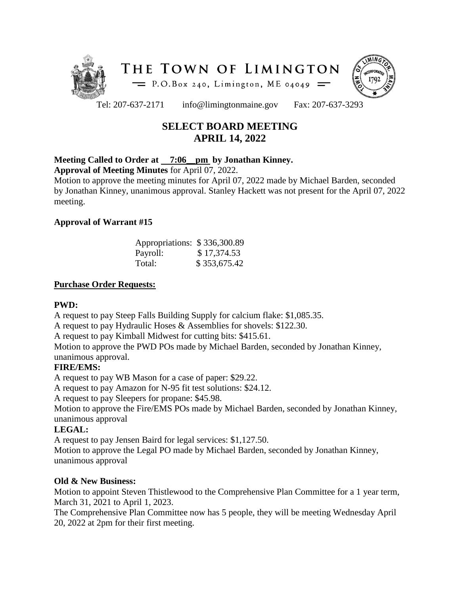



Tel: 207-637-2171 info@limingtonmaine.gov Fax: 207-637-3293

# **SELECT BOARD MEETING APRIL 14, 2022**

# **Meeting Called to Order at 7:06\_\_pm by Jonathan Kinney.**

**Approval of Meeting Minutes** for April 07, 2022.

Motion to approve the meeting minutes for April 07, 2022 made by Michael Barden, seconded by Jonathan Kinney, unanimous approval. Stanley Hackett was not present for the April 07, 2022 meeting.

## **Approval of Warrant #15**

| Appropriations: \$336,300.89 |              |
|------------------------------|--------------|
| Payroll:                     | \$17,374.53  |
| Total:                       | \$353,675.42 |

## **Purchase Order Requests:**

## **PWD:**

A request to pay Steep Falls Building Supply for calcium flake: \$1,085.35.

A request to pay Hydraulic Hoses & Assemblies for shovels: \$122.30.

A request to pay Kimball Midwest for cutting bits: \$415.61.

Motion to approve the PWD POs made by Michael Barden, seconded by Jonathan Kinney, unanimous approval.

## **FIRE/EMS:**

A request to pay WB Mason for a case of paper: \$29.22.

A request to pay Amazon for N-95 fit test solutions: \$24.12.

A request to pay Sleepers for propane: \$45.98.

Motion to approve the Fire/EMS POs made by Michael Barden, seconded by Jonathan Kinney, unanimous approval

# **LEGAL:**

A request to pay Jensen Baird for legal services: \$1,127.50.

Motion to approve the Legal PO made by Michael Barden, seconded by Jonathan Kinney, unanimous approval

## **Old & New Business:**

Motion to appoint Steven Thistlewood to the Comprehensive Plan Committee for a 1 year term, March 31, 2021 to April 1, 2023.

The Comprehensive Plan Committee now has 5 people, they will be meeting Wednesday April 20, 2022 at 2pm for their first meeting.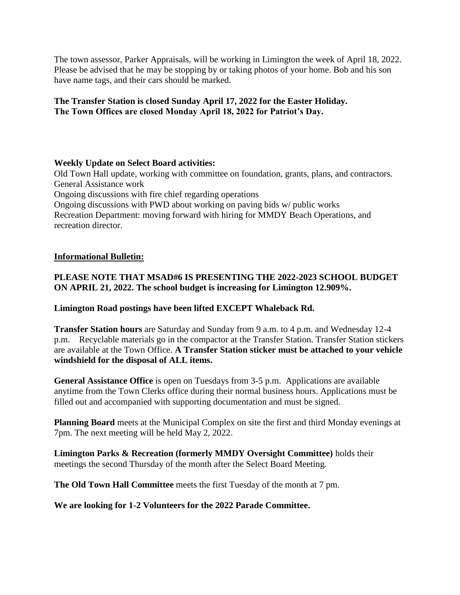The town assessor, Parker Appraisals, will be working in Limington the week of April 18, 2022. Please be advised that he may be stopping by or taking photos of your home. Bob and his son have name tags, and their cars should be marked.

## **The Transfer Station is closed Sunday April 17, 2022 for the Easter Holiday. The Town Offices are closed Monday April 18, 2022 for Patriot's Day.**

## **Weekly Update on Select Board activities:**

Old Town Hall update, working with committee on foundation, grants, plans, and contractors. General Assistance work Ongoing discussions with fire chief regarding operations Ongoing discussions with PWD about working on paving bids w/ public works Recreation Department: moving forward with hiring for MMDY Beach Operations, and recreation director.

#### **Informational Bulletin:**

# **PLEASE NOTE THAT MSAD#6 IS PRESENTING THE 2022-2023 SCHOOL BUDGET ON APRIL 21, 2022. The school budget is increasing for Limington 12.909%.**

#### **Limington Road postings have been lifted EXCEPT Whaleback Rd.**

**Transfer Station hours** are Saturday and Sunday from 9 a.m. to 4 p.m. and Wednesday 12-4 p.m. Recyclable materials go in the compactor at the Transfer Station. Transfer Station stickers are available at the Town Office. **A Transfer Station sticker must be attached to your vehicle windshield for the disposal of ALL items.**

**General Assistance Office** is open on Tuesdays from 3-5 p.m. Applications are available anytime from the Town Clerks office during their normal business hours. Applications must be filled out and accompanied with supporting documentation and must be signed.

**Planning Board** meets at the Municipal Complex on site the first and third Monday evenings at 7pm. The next meeting will be held May 2, 2022.

**Limington Parks & Recreation (formerly MMDY Oversight Committee)** holds their meetings the second Thursday of the month after the Select Board Meeting.

**The Old Town Hall Committee** meets the first Tuesday of the month at 7 pm.

**We are looking for 1-2 Volunteers for the 2022 Parade Committee.**